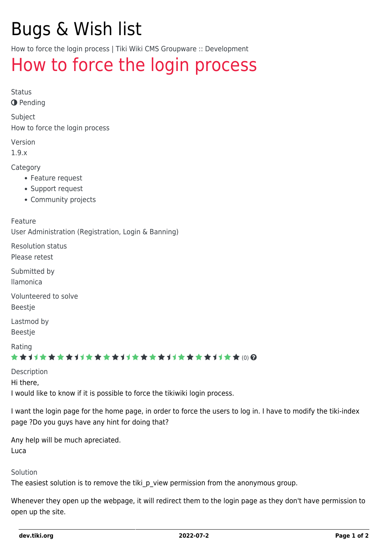# Bugs & Wish list

How to force the login process | Tiki Wiki CMS Groupware :: Development

## [How to force the login process](https://dev.tiki.org/item2318-How-to-force-the-login-process)

Status

**O** Pending

Subject

How to force the login process

Version

1.9.x

Category

- Feature request
- Support request
- Community projects

Feature

User Administration (Registration, Login & Banning)

Resolution status Please retest

Submitted by

llamonica

Volunteered to solve

Beestje

Lastmod by Beestje

Rating

#### ★★オオ★★★★オオ★★★★オオ★★★★オオ★★★★1オ★★(0)@

Description Hi there, I would like to know if it is possible to force the tikiwiki login process.

I want the login page for the home page, in order to force the users to log in. I have to modify the tiki-index page ?Do you guys have any hint for doing that?

Any help will be much apreciated. Luca

Solution

The easiest solution is to remove the tiki p view permission from the anonymous group.

Whenever they open up the webpage, it will redirect them to the login page as they don't have permission to open up the site.